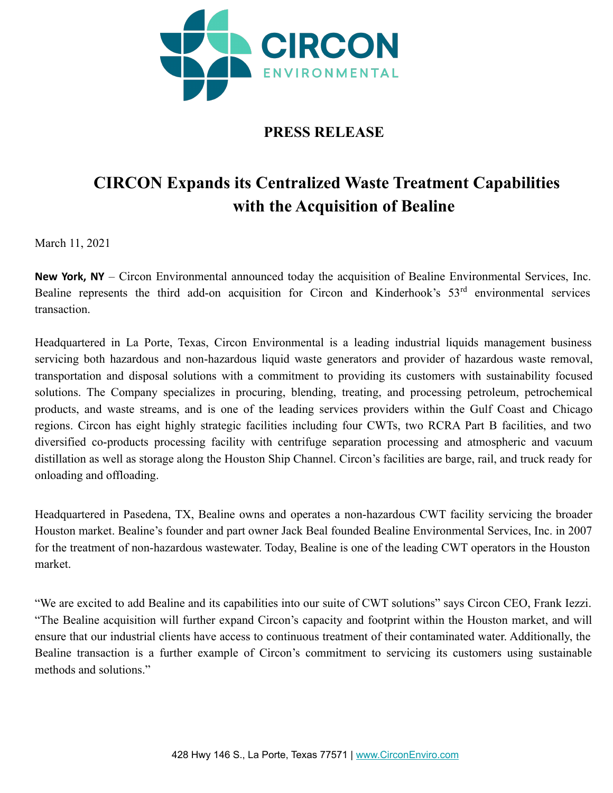

# **PRESS RELEASE**

# **CIRCON Expands its Centralized Waste Treatment Capabilities with the Acquisition of Bealine**

March 11, 2021

**New York, NY** – Circon Environmental announced today the acquisition of Bealine Environmental Services, Inc. Bealine represents the third add-on acquisition for Circon and Kinderhook's 53rd environmental services transaction.

Headquartered in La Porte, Texas, Circon Environmental is a leading industrial liquids management business servicing both hazardous and non-hazardous liquid waste generators and provider of hazardous waste removal, transportation and disposal solutions with a commitment to providing its customers with sustainability focused solutions. The Company specializes in procuring, blending, treating, and processing petroleum, petrochemical products, and waste streams, and is one of the leading services providers within the Gulf Coast and Chicago regions. Circon has eight highly strategic facilities including four CWTs, two RCRA Part B facilities, and two diversified co-products processing facility with centrifuge separation processing and atmospheric and vacuum distillation as well as storage along the Houston Ship Channel. Circon's facilities are barge, rail, and truck ready for onloading and offloading.

Headquartered in Pasedena, TX, Bealine owns and operates a non-hazardous CWT facility servicing the broader Houston market. Bealine's founder and part owner Jack Beal founded Bealine Environmental Services, Inc. in 2007 for the treatment of non-hazardous wastewater. Today, Bealine is one of the leading CWT operators in the Houston market.

"We are excited to add Bealine and its capabilities into our suite of CWT solutions" says Circon CEO, Frank Iezzi. "The Bealine acquisition will further expand Circon's capacity and footprint within the Houston market, and will ensure that our industrial clients have access to continuous treatment of their contaminated water. Additionally, the Bealine transaction is a further example of Circon's commitment to servicing its customers using sustainable methods and solutions."